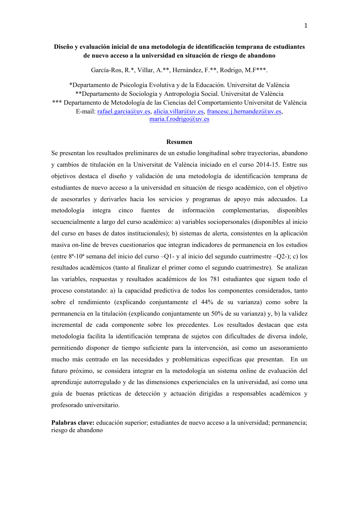## **Diseño y evaluación inicial de una metodología de identificación temprana de estudiantes de nuevo acceso a la universidad en situación de riesgo de abandono**

García-Ros, R.\*, Villar, A.\*\*, Hernàndez, F.\*\*, Rodrigo, M.F\*\*\*.

\*Departamento de Psicología Evolutiva y de la Educación. Universitat de València \*\*Departamento de Sociología y Antropología Social. Universitat de València \*\*\* Departamento de Metodología de las Ciencias del Comportamiento Universitat de València E-mail: rafael.garcia@uv.es, alicia.villar@uv.es, francesc.j.hernandez@uv.es, maria.f.rodrigo@uv.es

## **Resumen**

Se presentan los resultados preliminares de un estudio longitudinal sobre trayectorias, abandono y cambios de titulación en la Universitat de València iniciado en el curso 2014-15. Entre sus objetivos destaca el diseño y validación de una metodología de identificación temprana de estudiantes de nuevo acceso a la universidad en situación de riesgo académico, con el objetivo de asesorarles y derivarles hacia los servicios y programas de apoyo más adecuados. La metodología integra cinco fuentes de información complementarias, disponibles secuencialmente a largo del curso académico: a) variables sociopersonales (disponibles al inicio del curso en bases de datos institucionales); b) sistemas de alerta, consistentes en la aplicación masiva on-line de breves cuestionarios que integran indicadores de permanencia en los estudios (entre 8ª-10ª semana del inicio del curso –Q1- y al inicio del segundo cuatrimestre –Q2-); c) los resultados académicos (tanto al finalizar el primer como el segundo cuatrimestre). Se analizan las variables, respuestas y resultados académicos de los 781 estudiantes que siguen todo el proceso constatando: a) la capacidad predictiva de todos los componentes considerados, tanto sobre el rendimiento (explicando conjuntamente el 44% de su varianza) como sobre la permanencia en la titulación (explicando conjuntamente un 50% de su varianza) y, b) la validez incremental de cada componente sobre los precedentes. Los resultados destacan que esta metodología facilita la identificación temprana de sujetos con dificultades de diversa índole, permitiendo disponer de tiempo suficiente para la intervención, así como un asesoramiento mucho más centrado en las necesidades y problemáticas específicas que presentan. En un futuro próximo, se considera integrar en la metodología un sistema online de evaluación del aprendizaje autorregulado y de las dimensiones experienciales en la universidad, así como una guía de buenas prácticas de detección y actuación dirigidas a responsables académicos y profesorado universitario.

**Palabras clave:** educación superior; estudiantes de nuevo acceso a la universidad; permanencia; riesgo de abandono